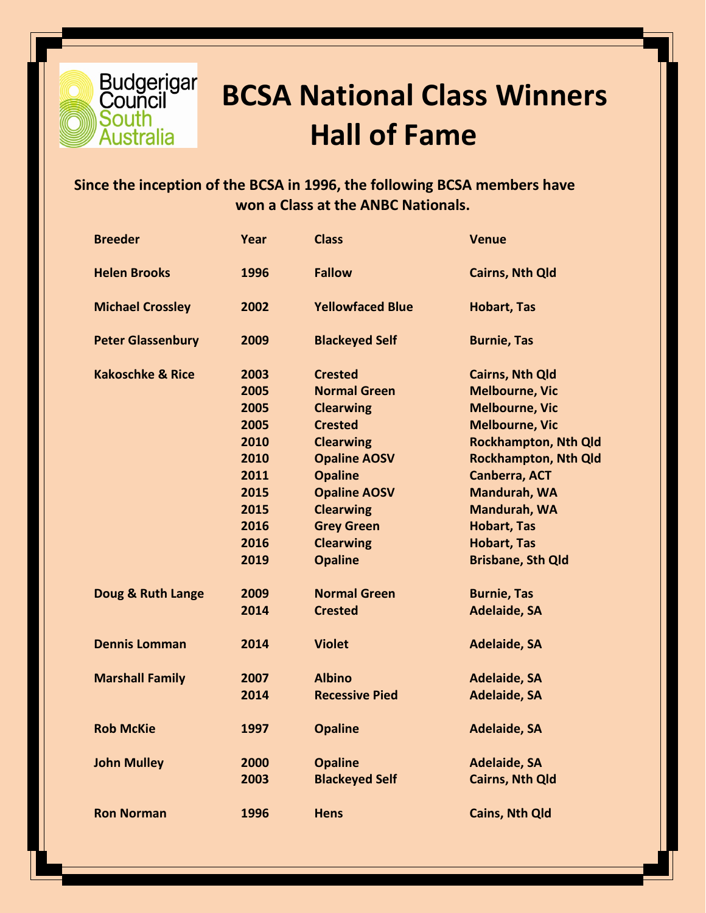

## **BCSA National Class Winners Hall of Fame**

## **Since the inception of the BCSA in 1996, the following BCSA members have won a Class at the ANBC Nationals.**

| <b>Breeder</b>              | Year | <b>Class</b>            | <b>Venue</b>                |
|-----------------------------|------|-------------------------|-----------------------------|
| <b>Helen Brooks</b>         | 1996 | <b>Fallow</b>           | <b>Cairns, Nth Qld</b>      |
| <b>Michael Crossley</b>     | 2002 | <b>Yellowfaced Blue</b> | <b>Hobart, Tas</b>          |
| <b>Peter Glassenbury</b>    | 2009 | <b>Blackeyed Self</b>   | <b>Burnie, Tas</b>          |
| <b>Kakoschke &amp; Rice</b> | 2003 | <b>Crested</b>          | <b>Cairns, Nth Qld</b>      |
|                             | 2005 | <b>Normal Green</b>     | <b>Melbourne, Vic</b>       |
|                             | 2005 | <b>Clearwing</b>        | <b>Melbourne, Vic</b>       |
|                             | 2005 | <b>Crested</b>          | <b>Melbourne, Vic</b>       |
|                             | 2010 | <b>Clearwing</b>        | <b>Rockhampton, Nth Qld</b> |
|                             | 2010 | <b>Opaline AOSV</b>     | <b>Rockhampton, Nth Qld</b> |
|                             | 2011 | <b>Opaline</b>          | <b>Canberra, ACT</b>        |
|                             | 2015 | <b>Opaline AOSV</b>     | Mandurah, WA                |
|                             | 2015 | <b>Clearwing</b>        | Mandurah, WA                |
|                             | 2016 | <b>Grey Green</b>       | <b>Hobart, Tas</b>          |
|                             | 2016 | <b>Clearwing</b>        | <b>Hobart, Tas</b>          |
|                             | 2019 | <b>Opaline</b>          | <b>Brisbane, Sth Qld</b>    |
| Doug & Ruth Lange           | 2009 | <b>Normal Green</b>     | <b>Burnie, Tas</b>          |
|                             | 2014 | <b>Crested</b>          | <b>Adelaide, SA</b>         |
| <b>Dennis Lomman</b>        | 2014 | <b>Violet</b>           | <b>Adelaide, SA</b>         |
| <b>Marshall Family</b>      | 2007 | <b>Albino</b>           | <b>Adelaide, SA</b>         |
|                             | 2014 | <b>Recessive Pied</b>   | <b>Adelaide, SA</b>         |
| <b>Rob McKie</b>            | 1997 | <b>Opaline</b>          | <b>Adelaide, SA</b>         |
| <b>John Mulley</b>          | 2000 | <b>Opaline</b>          | <b>Adelaide, SA</b>         |
|                             | 2003 | <b>Blackeyed Self</b>   | <b>Cairns, Nth Qld</b>      |
| <b>Ron Norman</b>           | 1996 | <b>Hens</b>             | <b>Cains, Nth Qld</b>       |